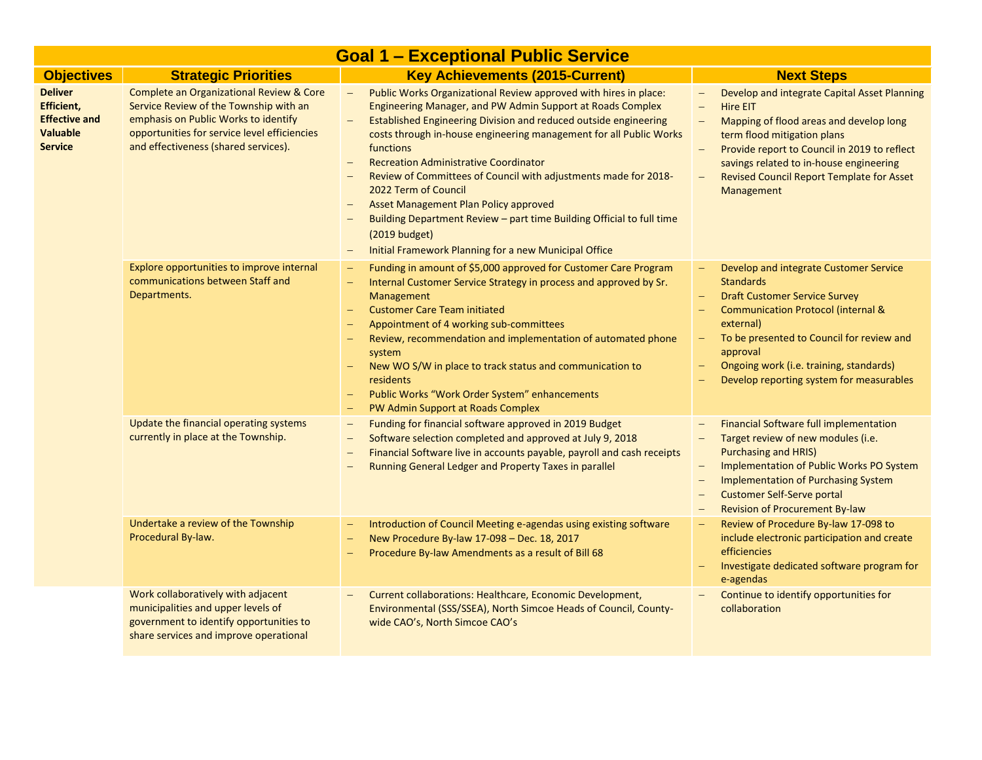|                                                                                                  | <b>Goal 1 - Exceptional Public Service</b>                                                                                                                                                                                    |                                                                                                                                                                                                                                                                                                                                                                                                                                                                                                                                                                                                                                                                                                                       |                                                                                                                                                                                                                                                                                                                                                                                                                        |  |  |
|--------------------------------------------------------------------------------------------------|-------------------------------------------------------------------------------------------------------------------------------------------------------------------------------------------------------------------------------|-----------------------------------------------------------------------------------------------------------------------------------------------------------------------------------------------------------------------------------------------------------------------------------------------------------------------------------------------------------------------------------------------------------------------------------------------------------------------------------------------------------------------------------------------------------------------------------------------------------------------------------------------------------------------------------------------------------------------|------------------------------------------------------------------------------------------------------------------------------------------------------------------------------------------------------------------------------------------------------------------------------------------------------------------------------------------------------------------------------------------------------------------------|--|--|
| <b>Objectives</b>                                                                                | <b>Strategic Priorities</b>                                                                                                                                                                                                   | <b>Key Achievements (2015-Current)</b>                                                                                                                                                                                                                                                                                                                                                                                                                                                                                                                                                                                                                                                                                | <b>Next Steps</b>                                                                                                                                                                                                                                                                                                                                                                                                      |  |  |
| <b>Deliver</b><br><b>Efficient,</b><br><b>Effective and</b><br><b>Valuable</b><br><b>Service</b> | <b>Complete an Organizational Review &amp; Core</b><br>Service Review of the Township with an<br>emphasis on Public Works to identify<br>opportunities for service level efficiencies<br>and effectiveness (shared services). | Public Works Organizational Review approved with hires in place:<br>$\equiv$<br>Engineering Manager, and PW Admin Support at Roads Complex<br>Established Engineering Division and reduced outside engineering<br>$\overline{\phantom{0}}$<br>costs through in-house engineering management for all Public Works<br>functions<br><b>Recreation Administrative Coordinator</b><br>$\overline{\phantom{m}}$<br>Review of Committees of Council with adjustments made for 2018-<br>2022 Term of Council<br>Asset Management Plan Policy approved<br>Building Department Review - part time Building Official to full time<br>(2019 budget)<br>Initial Framework Planning for a new Municipal Office<br>$\qquad \qquad -$ | Develop and integrate Capital Asset Planning<br>$\overline{\phantom{0}}$<br><b>Hire EIT</b><br>$\overline{\phantom{m}}$<br>Mapping of flood areas and develop long<br>$\equiv$<br>term flood mitigation plans<br>Provide report to Council in 2019 to reflect<br>savings related to in-house engineering<br><b>Revised Council Report Template for Asset</b><br>Management                                             |  |  |
|                                                                                                  | Explore opportunities to improve internal<br>communications between Staff and<br>Departments.                                                                                                                                 | Funding in amount of \$5,000 approved for Customer Care Program<br>$\overline{\phantom{m}}$<br>Internal Customer Service Strategy in process and approved by Sr.<br><b>Management</b><br><b>Customer Care Team initiated</b><br>$\overline{\phantom{m}}$<br>Appointment of 4 working sub-committees<br>$\qquad \qquad -$<br>Review, recommendation and implementation of automated phone<br>system<br>New WO S/W in place to track status and communication to<br>residents<br>Public Works "Work Order System" enhancements<br>PW Admin Support at Roads Complex                                                                                                                                                     | Develop and integrate Customer Service<br>$\overline{\phantom{m}}$<br><b>Standards</b><br><b>Draft Customer Service Survey</b><br><b>Communication Protocol (internal &amp;</b><br>external)<br>To be presented to Council for review and<br>approval<br>Ongoing work (i.e. training, standards)<br>Develop reporting system for measurables                                                                           |  |  |
|                                                                                                  | Update the financial operating systems<br>currently in place at the Township.                                                                                                                                                 | Funding for financial software approved in 2019 Budget<br>$\overline{\phantom{m}}$<br>Software selection completed and approved at July 9, 2018<br>$\overline{\phantom{m}}$<br>Financial Software live in accounts payable, payroll and cash receipts<br>Running General Ledger and Property Taxes in parallel                                                                                                                                                                                                                                                                                                                                                                                                        | <b>Financial Software full implementation</b><br>Target review of new modules (i.e.<br>$\equiv$<br><b>Purchasing and HRIS)</b><br>Implementation of Public Works PO System<br>$\overline{\phantom{m}}$<br><b>Implementation of Purchasing System</b><br>$\overline{\phantom{m}}$<br><b>Customer Self-Serve portal</b><br>$\overline{\phantom{m}}$<br><b>Revision of Procurement By-law</b><br>$\overline{\phantom{0}}$ |  |  |
|                                                                                                  | Undertake a review of the Township<br>Procedural By-law.                                                                                                                                                                      | Introduction of Council Meeting e-agendas using existing software<br>$\qquad \qquad -$<br>New Procedure By-law 17-098 - Dec. 18, 2017<br>Procedure By-law Amendments as a result of Bill 68<br>$\equiv$                                                                                                                                                                                                                                                                                                                                                                                                                                                                                                               | Review of Procedure By-law 17-098 to<br>include electronic participation and create<br>efficiencies<br>Investigate dedicated software program for<br>e-agendas                                                                                                                                                                                                                                                         |  |  |
|                                                                                                  | Work collaboratively with adjacent<br>municipalities and upper levels of<br>government to identify opportunities to<br>share services and improve operational                                                                 | Current collaborations: Healthcare, Economic Development,<br>Environmental (SSS/SSEA), North Simcoe Heads of Council, County-<br>wide CAO's, North Simcoe CAO's                                                                                                                                                                                                                                                                                                                                                                                                                                                                                                                                                       | Continue to identify opportunities for<br>collaboration                                                                                                                                                                                                                                                                                                                                                                |  |  |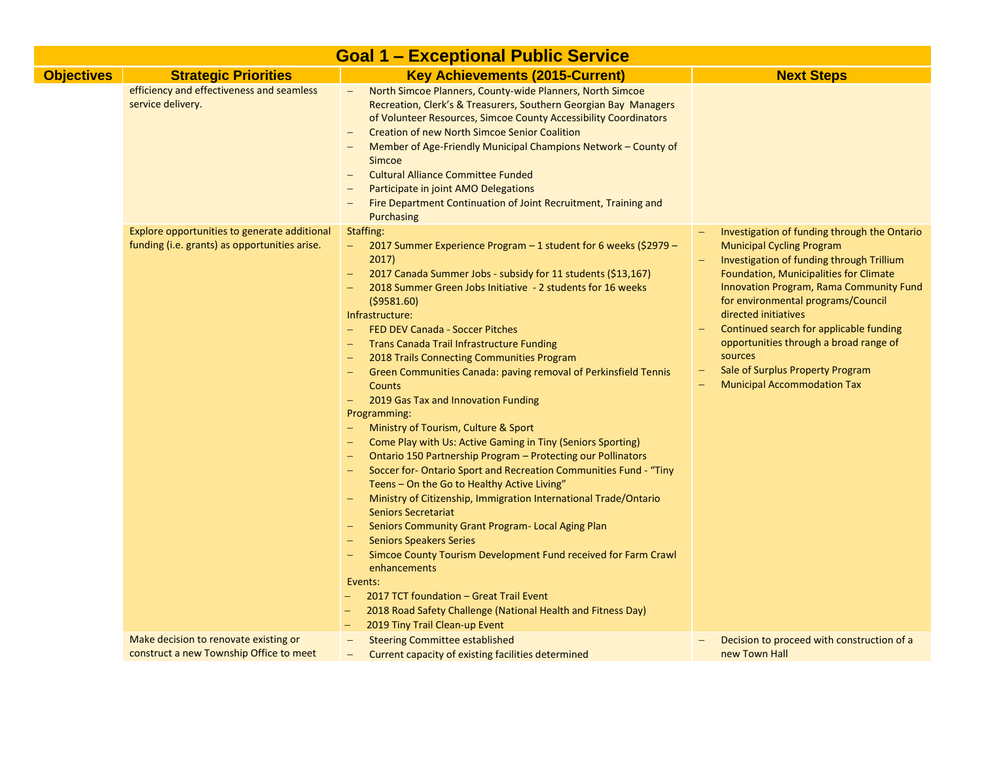|                   | <b>Goal 1 - Exceptional Public Service</b>                                                    |                                                                                                                                                                                                                                                                                                                                                                                                                                                                                                                                                                                                                                                                                                                                                                                                                                                                                                                                                                                                                                                                                                                                                                                                                                                                                                                 |                                                                                                                                                                                                                                                                                                                                                                                                                                                            |  |  |
|-------------------|-----------------------------------------------------------------------------------------------|-----------------------------------------------------------------------------------------------------------------------------------------------------------------------------------------------------------------------------------------------------------------------------------------------------------------------------------------------------------------------------------------------------------------------------------------------------------------------------------------------------------------------------------------------------------------------------------------------------------------------------------------------------------------------------------------------------------------------------------------------------------------------------------------------------------------------------------------------------------------------------------------------------------------------------------------------------------------------------------------------------------------------------------------------------------------------------------------------------------------------------------------------------------------------------------------------------------------------------------------------------------------------------------------------------------------|------------------------------------------------------------------------------------------------------------------------------------------------------------------------------------------------------------------------------------------------------------------------------------------------------------------------------------------------------------------------------------------------------------------------------------------------------------|--|--|
| <b>Objectives</b> | <b>Strategic Priorities</b>                                                                   | <b>Key Achievements (2015-Current)</b>                                                                                                                                                                                                                                                                                                                                                                                                                                                                                                                                                                                                                                                                                                                                                                                                                                                                                                                                                                                                                                                                                                                                                                                                                                                                          | <b>Next Steps</b>                                                                                                                                                                                                                                                                                                                                                                                                                                          |  |  |
|                   | efficiency and effectiveness and seamless<br>service delivery.                                | North Simcoe Planners, County-wide Planners, North Simcoe<br>Recreation, Clerk's & Treasurers, Southern Georgian Bay Managers<br>of Volunteer Resources, Simcoe County Accessibility Coordinators<br><b>Creation of new North Simcoe Senior Coalition</b><br>Member of Age-Friendly Municipal Champions Network - County of<br>Simcoe<br><b>Cultural Alliance Committee Funded</b><br>Participate in joint AMO Delegations<br>Fire Department Continuation of Joint Recruitment, Training and<br>Purchasing                                                                                                                                                                                                                                                                                                                                                                                                                                                                                                                                                                                                                                                                                                                                                                                                     |                                                                                                                                                                                                                                                                                                                                                                                                                                                            |  |  |
|                   | Explore opportunities to generate additional<br>funding (i.e. grants) as opportunities arise. | Staffing:<br>2017 Summer Experience Program - 1 student for 6 weeks (\$2979 -<br>2017)<br>2017 Canada Summer Jobs - subsidy for 11 students (\$13,167)<br>$\qquad \qquad -$<br>2018 Summer Green Jobs Initiative - 2 students for 16 weeks<br>( \$9581.60)<br>Infrastructure:<br>FED DEV Canada - Soccer Pitches<br><b>Trans Canada Trail Infrastructure Funding</b><br>2018 Trails Connecting Communities Program<br>Green Communities Canada: paving removal of Perkinsfield Tennis<br><b>Counts</b><br>2019 Gas Tax and Innovation Funding<br>$\qquad \qquad -$<br>Programming:<br>Ministry of Tourism, Culture & Sport<br>Come Play with Us: Active Gaming in Tiny (Seniors Sporting)<br>Ontario 150 Partnership Program - Protecting our Pollinators<br>Soccer for-Ontario Sport and Recreation Communities Fund - "Tiny<br>Teens - On the Go to Healthy Active Living"<br>Ministry of Citizenship, Immigration International Trade/Ontario<br><b>Seniors Secretariat</b><br>Seniors Community Grant Program- Local Aging Plan<br><b>Seniors Speakers Series</b><br>Simcoe County Tourism Development Fund received for Farm Crawl<br>enhancements<br>Events:<br>2017 TCT foundation - Great Trail Event<br>2018 Road Safety Challenge (National Health and Fitness Day)<br>2019 Tiny Trail Clean-up Event | Investigation of funding through the Ontario<br><b>Municipal Cycling Program</b><br>Investigation of funding through Trillium<br>Foundation, Municipalities for Climate<br>Innovation Program, Rama Community Fund<br>for environmental programs/Council<br>directed initiatives<br>Continued search for applicable funding<br>opportunities through a broad range of<br>sources<br>Sale of Surplus Property Program<br><b>Municipal Accommodation Tax</b> |  |  |
|                   | Make decision to renovate existing or                                                         | <b>Steering Committee established</b><br>$\qquad \qquad -$                                                                                                                                                                                                                                                                                                                                                                                                                                                                                                                                                                                                                                                                                                                                                                                                                                                                                                                                                                                                                                                                                                                                                                                                                                                      | Decision to proceed with construction of a                                                                                                                                                                                                                                                                                                                                                                                                                 |  |  |
|                   | construct a new Township Office to meet                                                       | Current capacity of existing facilities determined<br>$\overline{\phantom{m}}$                                                                                                                                                                                                                                                                                                                                                                                                                                                                                                                                                                                                                                                                                                                                                                                                                                                                                                                                                                                                                                                                                                                                                                                                                                  | new Town Hall                                                                                                                                                                                                                                                                                                                                                                                                                                              |  |  |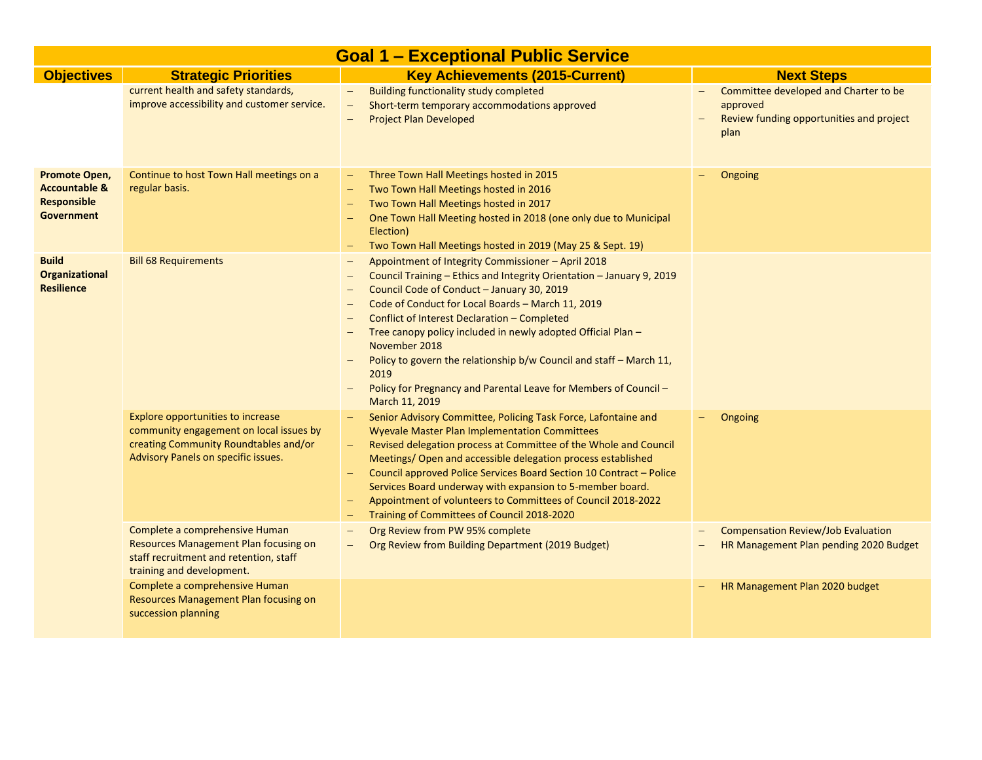| <b>Goal 1 - Exceptional Public Service</b>                                           |                                                                                                                                                              |                                                                                                                                                                                                                                                                                                                                                                                                                                                                                                                                      |                                                                                                                                   |  |
|--------------------------------------------------------------------------------------|--------------------------------------------------------------------------------------------------------------------------------------------------------------|--------------------------------------------------------------------------------------------------------------------------------------------------------------------------------------------------------------------------------------------------------------------------------------------------------------------------------------------------------------------------------------------------------------------------------------------------------------------------------------------------------------------------------------|-----------------------------------------------------------------------------------------------------------------------------------|--|
| <b>Objectives</b>                                                                    | <b>Strategic Priorities</b>                                                                                                                                  | <b>Key Achievements (2015-Current)</b>                                                                                                                                                                                                                                                                                                                                                                                                                                                                                               | <b>Next Steps</b>                                                                                                                 |  |
|                                                                                      | current health and safety standards,<br>improve accessibility and customer service.                                                                          | <b>Building functionality study completed</b><br>$\overline{\phantom{m}}$<br>Short-term temporary accommodations approved<br>$\overline{\phantom{0}}$<br><b>Project Plan Developed</b>                                                                                                                                                                                                                                                                                                                                               | Committee developed and Charter to be<br>$\overline{\phantom{m}}$<br>approved<br>Review funding opportunities and project<br>plan |  |
| Promote Open,<br><b>Accountable &amp;</b><br><b>Responsible</b><br><b>Government</b> | Continue to host Town Hall meetings on a<br>regular basis.                                                                                                   | Three Town Hall Meetings hosted in 2015<br>$\qquad \qquad -$<br>Two Town Hall Meetings hosted in 2016<br>Two Town Hall Meetings hosted in 2017<br>One Town Hall Meeting hosted in 2018 (one only due to Municipal<br>Election)<br>Two Town Hall Meetings hosted in 2019 (May 25 & Sept. 19)<br>-                                                                                                                                                                                                                                     | Ongoing                                                                                                                           |  |
| <b>Build</b><br><b>Organizational</b><br><b>Resilience</b>                           | <b>Bill 68 Requirements</b>                                                                                                                                  | Appointment of Integrity Commissioner - April 2018<br>Council Training - Ethics and Integrity Orientation - January 9, 2019<br>Council Code of Conduct - January 30, 2019<br>Code of Conduct for Local Boards - March 11, 2019<br>Conflict of Interest Declaration - Completed<br>Tree canopy policy included in newly adopted Official Plan -<br>November 2018<br>Policy to govern the relationship b/w Council and staff - March 11,<br>2019<br>Policy for Pregnancy and Parental Leave for Members of Council -<br>March 11, 2019 |                                                                                                                                   |  |
|                                                                                      | Explore opportunities to increase<br>community engagement on local issues by<br>creating Community Roundtables and/or<br>Advisory Panels on specific issues. | Senior Advisory Committee, Policing Task Force, Lafontaine and<br><b>Wyevale Master Plan Implementation Committees</b><br>Revised delegation process at Committee of the Whole and Council<br>Meetings/ Open and accessible delegation process established<br>Council approved Police Services Board Section 10 Contract - Police<br>Services Board underway with expansion to 5-member board.<br>Appointment of volunteers to Committees of Council 2018-2022<br>Training of Committees of Council 2018-2020<br>-                   | Ongoing                                                                                                                           |  |
|                                                                                      | Complete a comprehensive Human<br>Resources Management Plan focusing on<br>staff recruitment and retention, staff<br>training and development.               | Org Review from PW 95% complete<br>Org Review from Building Department (2019 Budget)<br>$\qquad \qquad -$                                                                                                                                                                                                                                                                                                                                                                                                                            | <b>Compensation Review/Job Evaluation</b><br>HR Management Plan pending 2020 Budget                                               |  |
|                                                                                      | Complete a comprehensive Human<br>Resources Management Plan focusing on<br>succession planning                                                               |                                                                                                                                                                                                                                                                                                                                                                                                                                                                                                                                      | HR Management Plan 2020 budget                                                                                                    |  |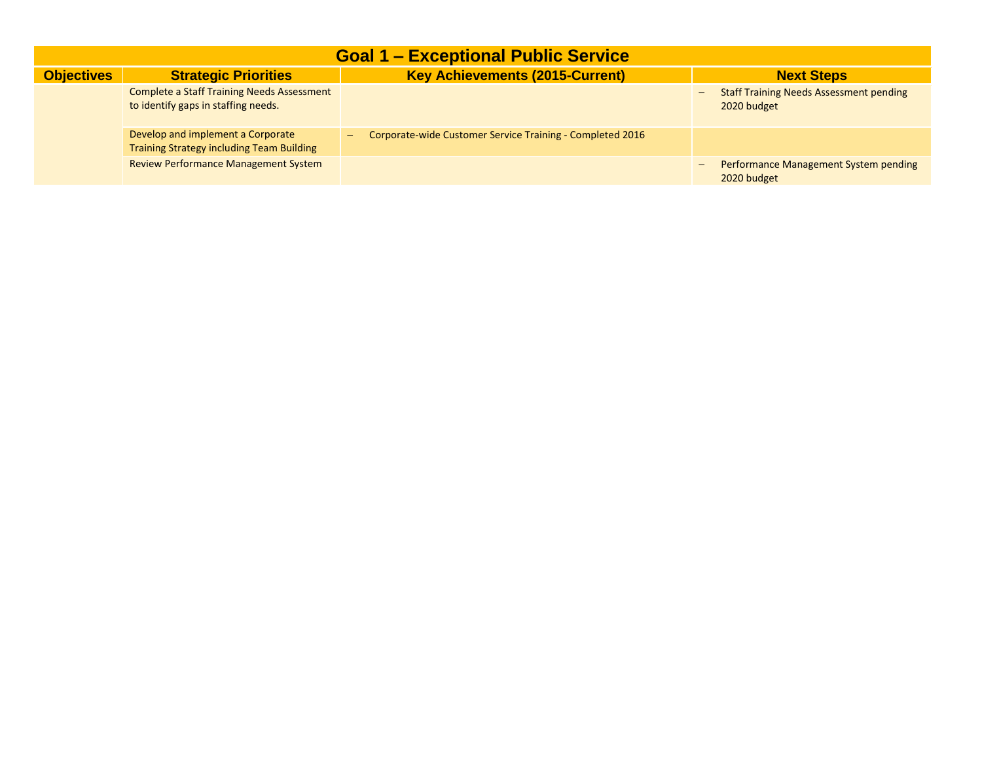| <b>Goal 1 - Exceptional Public Service</b> |                                                                                          |                                                                |                                                                                           |  |  |
|--------------------------------------------|------------------------------------------------------------------------------------------|----------------------------------------------------------------|-------------------------------------------------------------------------------------------|--|--|
| <b>Objectives</b>                          | <b>Strategic Priorities</b>                                                              | <b>Key Achievements (2015-Current)</b>                         | <b>Next Steps</b>                                                                         |  |  |
|                                            | <b>Complete a Staff Training Needs Assessment</b><br>to identify gaps in staffing needs. |                                                                | <b>Staff Training Needs Assessment pending</b><br>$\overline{\phantom{m}}$<br>2020 budget |  |  |
|                                            | Develop and implement a Corporate<br><b>Training Strategy including Team Building</b>    | Corporate-wide Customer Service Training - Completed 2016<br>- |                                                                                           |  |  |
|                                            | <b>Review Performance Management System</b>                                              |                                                                | Performance Management System pending<br>$\qquad \qquad -$<br>2020 budget                 |  |  |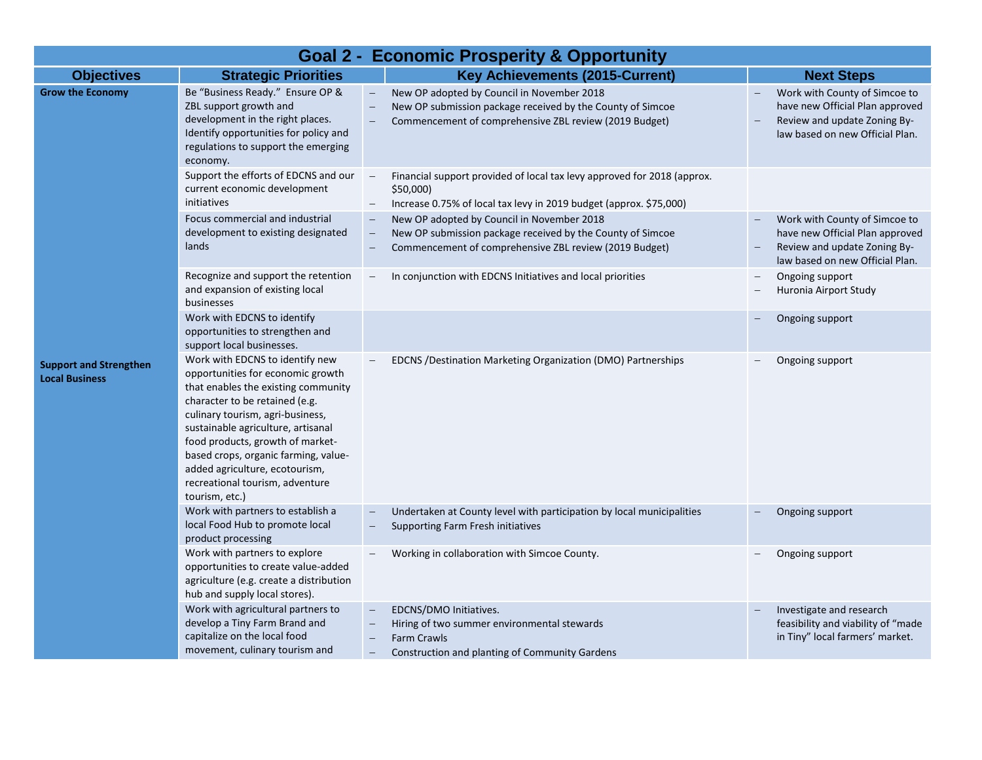| <b>Goal 2 - Economic Prosperity &amp; Opportunity</b>  |                                                                                                                                                                                                                                                                                                                                                                                            |                          |                                                                                                                                                                    |  |                                                                                                                                     |
|--------------------------------------------------------|--------------------------------------------------------------------------------------------------------------------------------------------------------------------------------------------------------------------------------------------------------------------------------------------------------------------------------------------------------------------------------------------|--------------------------|--------------------------------------------------------------------------------------------------------------------------------------------------------------------|--|-------------------------------------------------------------------------------------------------------------------------------------|
| <b>Objectives</b>                                      | <b>Strategic Priorities</b>                                                                                                                                                                                                                                                                                                                                                                |                          | <b>Key Achievements (2015-Current)</b>                                                                                                                             |  | <b>Next Steps</b>                                                                                                                   |
| <b>Grow the Economy</b>                                | Be "Business Ready." Ensure OP &<br>ZBL support growth and<br>development in the right places.<br>Identify opportunities for policy and<br>regulations to support the emerging<br>economy.                                                                                                                                                                                                 |                          | New OP adopted by Council in November 2018<br>New OP submission package received by the County of Simcoe<br>Commencement of comprehensive ZBL review (2019 Budget) |  | Work with County of Simcoe to<br>have new Official Plan approved<br>Review and update Zoning By-<br>law based on new Official Plan. |
|                                                        | Support the efforts of EDCNS and our<br>current economic development<br>initiatives                                                                                                                                                                                                                                                                                                        | $\qquad -$<br>\$50,000   | Financial support provided of local tax levy approved for 2018 (approx.<br>Increase 0.75% of local tax levy in 2019 budget (approx. \$75,000)                      |  |                                                                                                                                     |
|                                                        | Focus commercial and industrial<br>development to existing designated<br>lands                                                                                                                                                                                                                                                                                                             | $\overline{\phantom{m}}$ | New OP adopted by Council in November 2018<br>New OP submission package received by the County of Simcoe<br>Commencement of comprehensive ZBL review (2019 Budget) |  | Work with County of Simcoe to<br>have new Official Plan approved<br>Review and update Zoning By-<br>law based on new Official Plan. |
|                                                        | Recognize and support the retention<br>and expansion of existing local<br>businesses                                                                                                                                                                                                                                                                                                       |                          | In conjunction with EDCNS Initiatives and local priorities                                                                                                         |  | Ongoing support<br>Huronia Airport Study                                                                                            |
|                                                        | Work with EDCNS to identify<br>opportunities to strengthen and<br>support local businesses.                                                                                                                                                                                                                                                                                                |                          |                                                                                                                                                                    |  | Ongoing support                                                                                                                     |
| <b>Support and Strengthen</b><br><b>Local Business</b> | Work with EDCNS to identify new<br>opportunities for economic growth<br>that enables the existing community<br>character to be retained (e.g.<br>culinary tourism, agri-business,<br>sustainable agriculture, artisanal<br>food products, growth of market-<br>based crops, organic farming, value-<br>added agriculture, ecotourism,<br>recreational tourism, adventure<br>tourism, etc.) |                          | EDCNS /Destination Marketing Organization (DMO) Partnerships                                                                                                       |  | Ongoing support                                                                                                                     |
|                                                        | Work with partners to establish a<br>local Food Hub to promote local<br>product processing                                                                                                                                                                                                                                                                                                 |                          | Undertaken at County level with participation by local municipalities<br>Supporting Farm Fresh initiatives                                                         |  | Ongoing support                                                                                                                     |
|                                                        | Work with partners to explore<br>opportunities to create value-added<br>agriculture (e.g. create a distribution<br>hub and supply local stores).                                                                                                                                                                                                                                           |                          | Working in collaboration with Simcoe County.                                                                                                                       |  | Ongoing support                                                                                                                     |
|                                                        | Work with agricultural partners to<br>develop a Tiny Farm Brand and<br>capitalize on the local food<br>movement, culinary tourism and                                                                                                                                                                                                                                                      | <b>Farm Crawls</b>       | EDCNS/DMO Initiatives.<br>Hiring of two summer environmental stewards<br>Construction and planting of Community Gardens                                            |  | Investigate and research<br>feasibility and viability of "made<br>in Tiny" local farmers' market.                                   |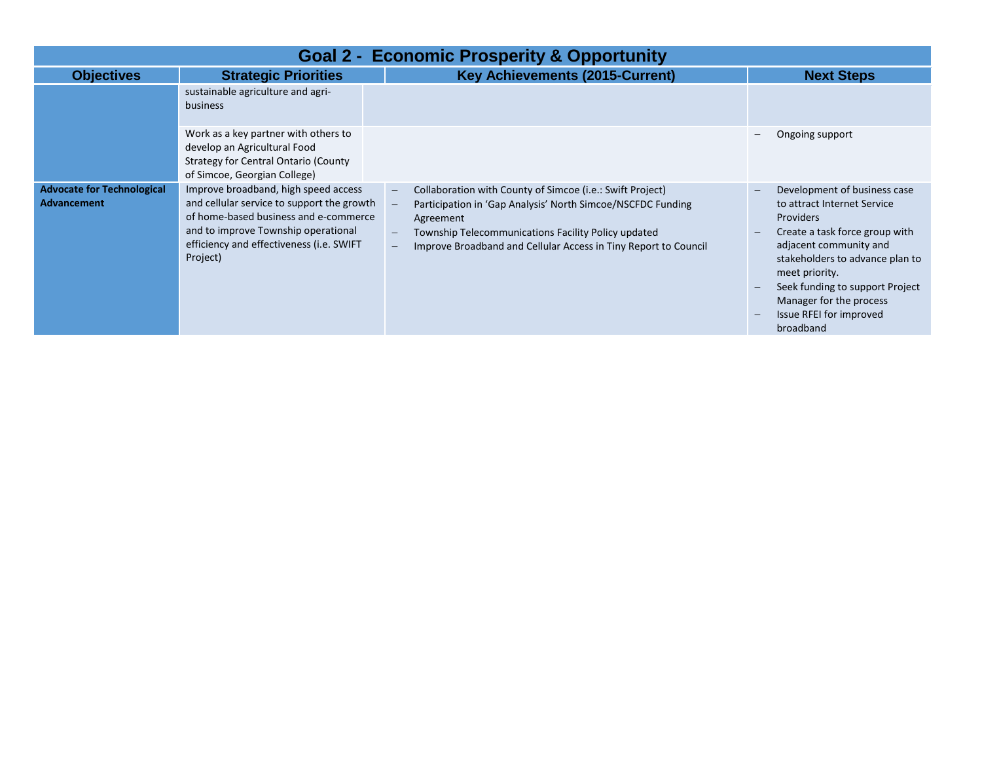| <b>Goal 2 - Economic Prosperity &amp; Opportunity</b> |                                                                                                                                                                                                                            |                                                                                                                                                                                                                                                                 |                                                                                                                                                                                                                                                                                                        |  |  |  |
|-------------------------------------------------------|----------------------------------------------------------------------------------------------------------------------------------------------------------------------------------------------------------------------------|-----------------------------------------------------------------------------------------------------------------------------------------------------------------------------------------------------------------------------------------------------------------|--------------------------------------------------------------------------------------------------------------------------------------------------------------------------------------------------------------------------------------------------------------------------------------------------------|--|--|--|
| <b>Objectives</b>                                     | <b>Strategic Priorities</b>                                                                                                                                                                                                | <b>Key Achievements (2015-Current)</b>                                                                                                                                                                                                                          | <b>Next Steps</b>                                                                                                                                                                                                                                                                                      |  |  |  |
|                                                       | sustainable agriculture and agri-<br>business                                                                                                                                                                              |                                                                                                                                                                                                                                                                 |                                                                                                                                                                                                                                                                                                        |  |  |  |
|                                                       | Work as a key partner with others to<br>develop an Agricultural Food<br><b>Strategy for Central Ontario (County</b><br>of Simcoe, Georgian College)                                                                        |                                                                                                                                                                                                                                                                 | Ongoing support                                                                                                                                                                                                                                                                                        |  |  |  |
| <b>Advocate for Technological</b><br>Advancement      | Improve broadband, high speed access<br>and cellular service to support the growth<br>of home-based business and e-commerce<br>and to improve Township operational<br>efficiency and effectiveness (i.e. SWIFT<br>Project) | Collaboration with County of Simcoe (i.e.: Swift Project)<br>Participation in 'Gap Analysis' North Simcoe/NSCFDC Funding<br>Agreement<br>Township Telecommunications Facility Policy updated<br>Improve Broadband and Cellular Access in Tiny Report to Council | Development of business case<br>to attract Internet Service<br><b>Providers</b><br>Create a task force group with<br>adjacent community and<br>stakeholders to advance plan to<br>meet priority.<br>Seek funding to support Project<br>Manager for the process<br>Issue RFEI for improved<br>broadband |  |  |  |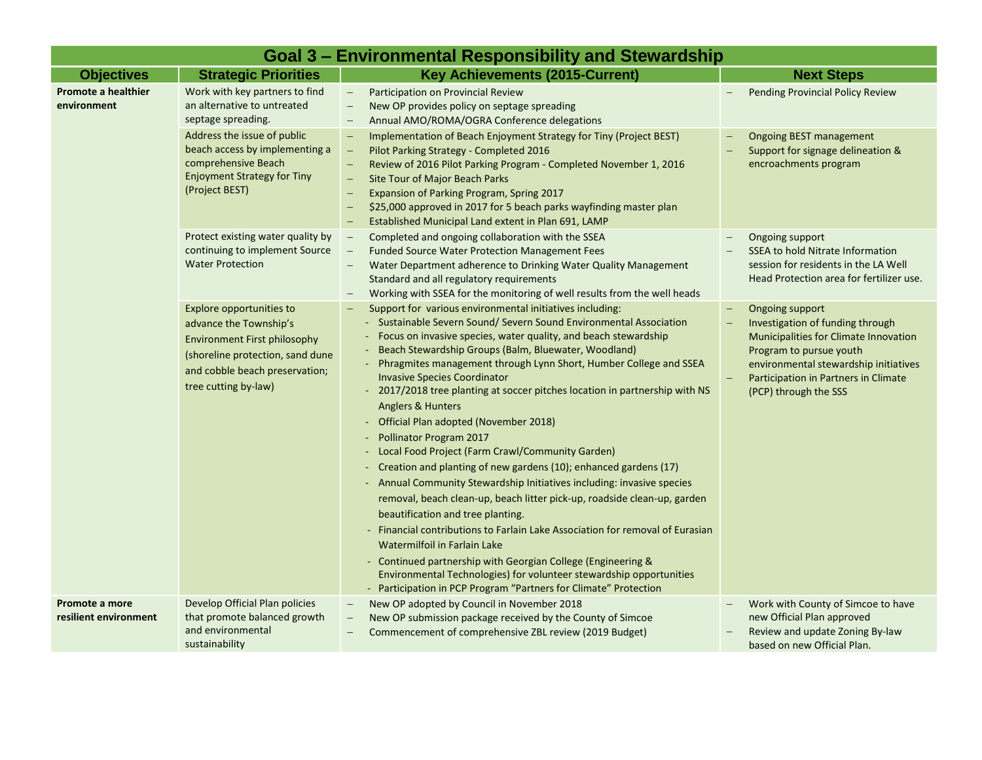|                                           | Goal 3 – Environmental Responsibility and Stewardship                                                                                                                                   |                                                                                                                                                                                                                                                                                                                                                                                                                                                                                                                                                                                                                                                                                                                                                                                                                                                                                                                                                                                                                                                                                                                                                                                                          |                                                                                                                                                                                                                                                                      |  |  |
|-------------------------------------------|-----------------------------------------------------------------------------------------------------------------------------------------------------------------------------------------|----------------------------------------------------------------------------------------------------------------------------------------------------------------------------------------------------------------------------------------------------------------------------------------------------------------------------------------------------------------------------------------------------------------------------------------------------------------------------------------------------------------------------------------------------------------------------------------------------------------------------------------------------------------------------------------------------------------------------------------------------------------------------------------------------------------------------------------------------------------------------------------------------------------------------------------------------------------------------------------------------------------------------------------------------------------------------------------------------------------------------------------------------------------------------------------------------------|----------------------------------------------------------------------------------------------------------------------------------------------------------------------------------------------------------------------------------------------------------------------|--|--|
| <b>Objectives</b>                         | <b>Strategic Priorities</b>                                                                                                                                                             | <b>Key Achievements (2015-Current)</b>                                                                                                                                                                                                                                                                                                                                                                                                                                                                                                                                                                                                                                                                                                                                                                                                                                                                                                                                                                                                                                                                                                                                                                   | <b>Next Steps</b>                                                                                                                                                                                                                                                    |  |  |
| <b>Promote a healthier</b><br>environment | Work with key partners to find<br>an alternative to untreated<br>septage spreading.                                                                                                     | Participation on Provincial Review<br>$\overline{\phantom{0}}$<br>New OP provides policy on septage spreading<br>$\overline{\phantom{0}}$<br>Annual AMO/ROMA/OGRA Conference delegations<br>$\overline{\phantom{m}}$                                                                                                                                                                                                                                                                                                                                                                                                                                                                                                                                                                                                                                                                                                                                                                                                                                                                                                                                                                                     | <b>Pending Provincial Policy Review</b>                                                                                                                                                                                                                              |  |  |
|                                           | Address the issue of public<br>beach access by implementing a<br>comprehensive Beach<br><b>Enjoyment Strategy for Tiny</b><br>(Project BEST)                                            | Implementation of Beach Enjoyment Strategy for Tiny (Project BEST)<br>$\overline{\phantom{m}}$<br>Pilot Parking Strategy - Completed 2016<br>Review of 2016 Pilot Parking Program - Completed November 1, 2016<br>$\overline{\phantom{a}}$<br>Site Tour of Major Beach Parks<br>Expansion of Parking Program, Spring 2017<br>\$25,000 approved in 2017 for 5 beach parks wayfinding master plan<br>Established Municipal Land extent in Plan 691, LAMP<br>$\overline{\phantom{m}}$                                                                                                                                                                                                                                                                                                                                                                                                                                                                                                                                                                                                                                                                                                                       | <b>Ongoing BEST management</b><br>Support for signage delineation &<br>encroachments program                                                                                                                                                                         |  |  |
|                                           | Protect existing water quality by<br>continuing to implement Source<br><b>Water Protection</b>                                                                                          | Completed and ongoing collaboration with the SSEA<br>$\overline{\phantom{m}}$<br><b>Funded Source Water Protection Management Fees</b><br>Water Department adherence to Drinking Water Quality Management<br>Standard and all regulatory requirements<br>Working with SSEA for the monitoring of well results from the well heads                                                                                                                                                                                                                                                                                                                                                                                                                                                                                                                                                                                                                                                                                                                                                                                                                                                                        | Ongoing support<br><b>SSEA to hold Nitrate Information</b><br>session for residents in the LA Well<br>Head Protection area for fertilizer use.                                                                                                                       |  |  |
|                                           | Explore opportunities to<br>advance the Township's<br><b>Environment First philosophy</b><br>(shoreline protection, sand dune<br>and cobble beach preservation;<br>tree cutting by-law) | Support for various environmental initiatives including:<br>- Sustainable Severn Sound/ Severn Sound Environmental Association<br>- Focus on invasive species, water quality, and beach stewardship<br>- Beach Stewardship Groups (Balm, Bluewater, Woodland)<br>- Phragmites management through Lynn Short, Humber College and SSEA<br><b>Invasive Species Coordinator</b><br>- 2017/2018 tree planting at soccer pitches location in partnership with NS<br>Anglers & Hunters<br>- Official Plan adopted (November 2018)<br>- Pollinator Program 2017<br>- Local Food Project (Farm Crawl/Community Garden)<br>Creation and planting of new gardens (10); enhanced gardens (17)<br>- Annual Community Stewardship Initiatives including: invasive species<br>removal, beach clean-up, beach litter pick-up, roadside clean-up, garden<br>beautification and tree planting.<br>- Financial contributions to Farlain Lake Association for removal of Eurasian<br>Watermilfoil in Farlain Lake<br>- Continued partnership with Georgian College (Engineering &<br>Environmental Technologies) for volunteer stewardship opportunities<br>- Participation in PCP Program "Partners for Climate" Protection | <b>Ongoing support</b><br>$\overline{\phantom{m}}$<br>Investigation of funding through<br>Municipalities for Climate Innovation<br>Program to pursue youth<br>environmental stewardship initiatives<br>Participation in Partners in Climate<br>(PCP) through the SSS |  |  |
| Promote a more<br>resilient environment   | Develop Official Plan policies<br>that promote balanced growth<br>and environmental<br>sustainability                                                                                   | New OP adopted by Council in November 2018<br>$\overline{\phantom{a}}$<br>New OP submission package received by the County of Simcoe<br>Commencement of comprehensive ZBL review (2019 Budget)                                                                                                                                                                                                                                                                                                                                                                                                                                                                                                                                                                                                                                                                                                                                                                                                                                                                                                                                                                                                           | Work with County of Simcoe to have<br>new Official Plan approved<br>Review and update Zoning By-law<br>based on new Official Plan.                                                                                                                                   |  |  |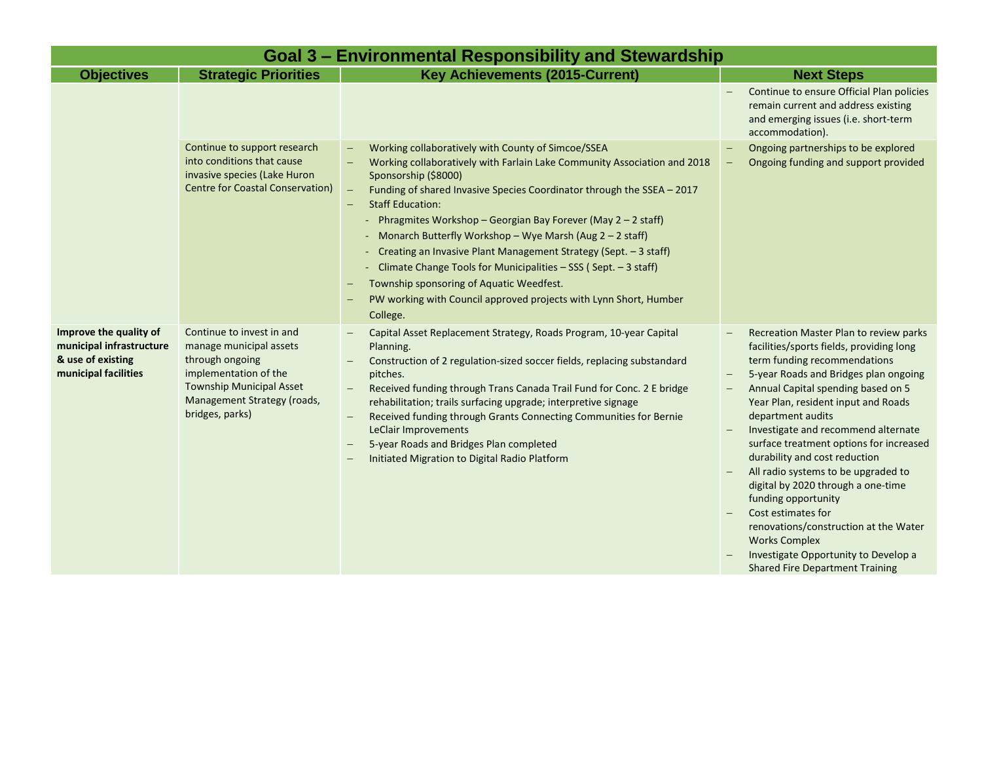| Goal 3 – Environmental Responsibility and Stewardship                                           |                                                                                                                                                                                       |                                                                                                                                                                                                                                                                                                                                                                                                                                                                                                                                                                                                                                                                                                 |                                                                                                                                                                                                                                                                                                                                                                                                                                                                                                                                                                                                                                                               |  |  |
|-------------------------------------------------------------------------------------------------|---------------------------------------------------------------------------------------------------------------------------------------------------------------------------------------|-------------------------------------------------------------------------------------------------------------------------------------------------------------------------------------------------------------------------------------------------------------------------------------------------------------------------------------------------------------------------------------------------------------------------------------------------------------------------------------------------------------------------------------------------------------------------------------------------------------------------------------------------------------------------------------------------|---------------------------------------------------------------------------------------------------------------------------------------------------------------------------------------------------------------------------------------------------------------------------------------------------------------------------------------------------------------------------------------------------------------------------------------------------------------------------------------------------------------------------------------------------------------------------------------------------------------------------------------------------------------|--|--|
| <b>Objectives</b>                                                                               | <b>Strategic Priorities</b>                                                                                                                                                           | <b>Key Achievements (2015-Current)</b>                                                                                                                                                                                                                                                                                                                                                                                                                                                                                                                                                                                                                                                          | <b>Next Steps</b>                                                                                                                                                                                                                                                                                                                                                                                                                                                                                                                                                                                                                                             |  |  |
|                                                                                                 |                                                                                                                                                                                       |                                                                                                                                                                                                                                                                                                                                                                                                                                                                                                                                                                                                                                                                                                 | Continue to ensure Official Plan policies<br>remain current and address existing<br>and emerging issues (i.e. short-term<br>accommodation).                                                                                                                                                                                                                                                                                                                                                                                                                                                                                                                   |  |  |
|                                                                                                 | Continue to support research<br>into conditions that cause<br>invasive species (Lake Huron<br><b>Centre for Coastal Conservation)</b>                                                 | Working collaboratively with County of Simcoe/SSEA<br>Working collaboratively with Farlain Lake Community Association and 2018<br>Sponsorship (\$8000)<br>Funding of shared Invasive Species Coordinator through the SSEA - 2017<br>$\overline{\phantom{m}}$<br><b>Staff Education:</b><br>- Phragmites Workshop - Georgian Bay Forever (May 2 - 2 staff)<br>- Monarch Butterfly Workshop - Wye Marsh (Aug 2 - 2 staff)<br>- Creating an Invasive Plant Management Strategy (Sept. - 3 staff)<br>- Climate Change Tools for Municipalities - SSS (Sept. - 3 staff)<br>Township sponsoring of Aquatic Weedfest.<br>PW working with Council approved projects with Lynn Short, Humber<br>College. | Ongoing partnerships to be explored<br>Ongoing funding and support provided<br>-                                                                                                                                                                                                                                                                                                                                                                                                                                                                                                                                                                              |  |  |
| Improve the quality of<br>municipal infrastructure<br>& use of existing<br>municipal facilities | Continue to invest in and<br>manage municipal assets<br>through ongoing<br>implementation of the<br><b>Township Municipal Asset</b><br>Management Strategy (roads,<br>bridges, parks) | Capital Asset Replacement Strategy, Roads Program, 10-year Capital<br>Planning.<br>Construction of 2 regulation-sized soccer fields, replacing substandard<br>pitches.<br>Received funding through Trans Canada Trail Fund for Conc. 2 E bridge<br>rehabilitation; trails surfacing upgrade; interpretive signage<br>Received funding through Grants Connecting Communities for Bernie<br>LeClair Improvements<br>5-year Roads and Bridges Plan completed<br>Initiated Migration to Digital Radio Platform                                                                                                                                                                                      | Recreation Master Plan to review parks<br>facilities/sports fields, providing long<br>term funding recommendations<br>5-year Roads and Bridges plan ongoing<br>Annual Capital spending based on 5<br>Year Plan, resident input and Roads<br>department audits<br>Investigate and recommend alternate<br>surface treatment options for increased<br>durability and cost reduction<br>All radio systems to be upgraded to<br>digital by 2020 through a one-time<br>funding opportunity<br>Cost estimates for<br>renovations/construction at the Water<br><b>Works Complex</b><br>Investigate Opportunity to Develop a<br><b>Shared Fire Department Training</b> |  |  |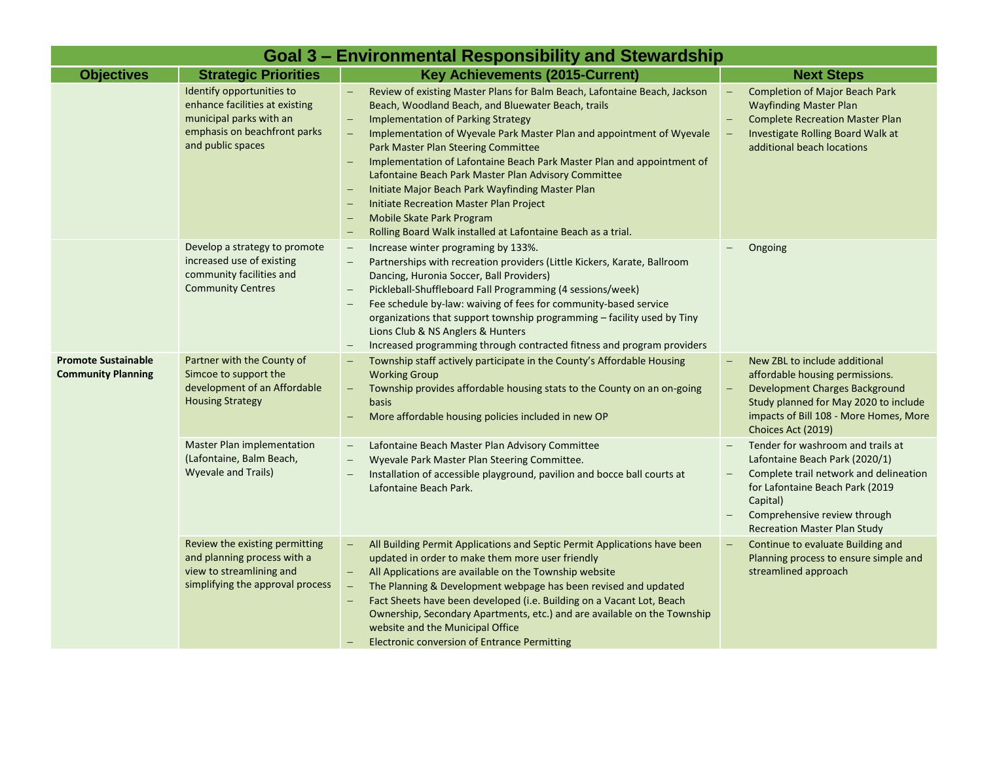|                                                         | Goal 3 – Environmental Responsibility and Stewardship                                                                                       |                                                                                                                                                                                                                                                                                                                                                                                                                                                                                                                                                                                                                                                      |                                                                                                                                                                                                                                     |  |  |
|---------------------------------------------------------|---------------------------------------------------------------------------------------------------------------------------------------------|------------------------------------------------------------------------------------------------------------------------------------------------------------------------------------------------------------------------------------------------------------------------------------------------------------------------------------------------------------------------------------------------------------------------------------------------------------------------------------------------------------------------------------------------------------------------------------------------------------------------------------------------------|-------------------------------------------------------------------------------------------------------------------------------------------------------------------------------------------------------------------------------------|--|--|
| <b>Objectives</b>                                       | <b>Strategic Priorities</b>                                                                                                                 | <b>Key Achievements (2015-Current)</b>                                                                                                                                                                                                                                                                                                                                                                                                                                                                                                                                                                                                               | <b>Next Steps</b>                                                                                                                                                                                                                   |  |  |
|                                                         | Identify opportunities to<br>enhance facilities at existing<br>municipal parks with an<br>emphasis on beachfront parks<br>and public spaces | Review of existing Master Plans for Balm Beach, Lafontaine Beach, Jackson<br>Beach, Woodland Beach, and Bluewater Beach, trails<br><b>Implementation of Parking Strategy</b><br>Implementation of Wyevale Park Master Plan and appointment of Wyevale<br>$\equiv$<br>Park Master Plan Steering Committee<br>Implementation of Lafontaine Beach Park Master Plan and appointment of<br>Lafontaine Beach Park Master Plan Advisory Committee<br>Initiate Major Beach Park Wayfinding Master Plan<br><b>Initiate Recreation Master Plan Project</b><br><b>Mobile Skate Park Program</b><br>Rolling Board Walk installed at Lafontaine Beach as a trial. | <b>Completion of Major Beach Park</b><br><b>Wayfinding Master Plan</b><br><b>Complete Recreation Master Plan</b><br>Investigate Rolling Board Walk at<br>additional beach locations                                                 |  |  |
|                                                         | Develop a strategy to promote<br>increased use of existing<br>community facilities and<br><b>Community Centres</b>                          | Increase winter programing by 133%.<br>Partnerships with recreation providers (Little Kickers, Karate, Ballroom<br>Dancing, Huronia Soccer, Ball Providers)<br>Pickleball-Shuffleboard Fall Programming (4 sessions/week)<br>Fee schedule by-law: waiving of fees for community-based service<br>organizations that support township programming - facility used by Tiny<br>Lions Club & NS Anglers & Hunters<br>Increased programming through contracted fitness and program providers<br>$\overline{\phantom{m}}$                                                                                                                                  | Ongoing                                                                                                                                                                                                                             |  |  |
| <b>Promote Sustainable</b><br><b>Community Planning</b> | Partner with the County of<br>Simcoe to support the<br>development of an Affordable<br><b>Housing Strategy</b>                              | Township staff actively participate in the County's Affordable Housing<br><b>Working Group</b><br>Township provides affordable housing stats to the County on an on-going<br>basis<br>More affordable housing policies included in new OP                                                                                                                                                                                                                                                                                                                                                                                                            | New ZBL to include additional<br>affordable housing permissions.<br><b>Development Charges Background</b><br>Study planned for May 2020 to include<br>impacts of Bill 108 - More Homes, More<br>Choices Act (2019)                  |  |  |
|                                                         | <b>Master Plan implementation</b><br>(Lafontaine, Balm Beach,<br><b>Wyevale and Trails)</b>                                                 | Lafontaine Beach Master Plan Advisory Committee<br>$\overline{\phantom{m}}$<br>Wyevale Park Master Plan Steering Committee.<br>Installation of accessible playground, pavilion and bocce ball courts at<br>Lafontaine Beach Park.                                                                                                                                                                                                                                                                                                                                                                                                                    | Tender for washroom and trails at<br>Lafontaine Beach Park (2020/1)<br>Complete trail network and delineation<br>for Lafontaine Beach Park (2019<br>Capital)<br>Comprehensive review through<br><b>Recreation Master Plan Study</b> |  |  |
|                                                         | Review the existing permitting<br>and planning process with a<br>view to streamlining and<br>simplifying the approval process               | All Building Permit Applications and Septic Permit Applications have been<br>updated in order to make them more user friendly<br>All Applications are available on the Township website<br>The Planning & Development webpage has been revised and updated<br>Fact Sheets have been developed (i.e. Building on a Vacant Lot, Beach<br>Ownership, Secondary Apartments, etc.) and are available on the Township<br>website and the Municipal Office<br><b>Electronic conversion of Entrance Permitting</b>                                                                                                                                           | Continue to evaluate Building and<br>Planning process to ensure simple and<br>streamlined approach                                                                                                                                  |  |  |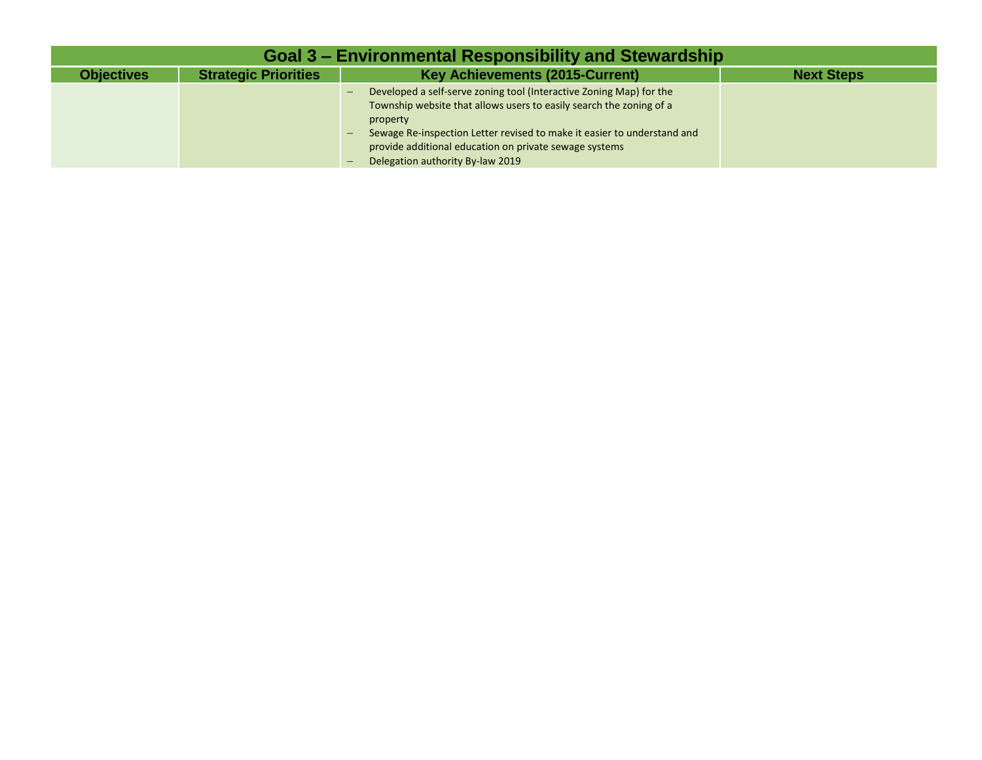| Goal 3 – Environmental Responsibility and Stewardship |                             |                                                                                                                                                                                                                                                                                                                                                             |                   |  |
|-------------------------------------------------------|-----------------------------|-------------------------------------------------------------------------------------------------------------------------------------------------------------------------------------------------------------------------------------------------------------------------------------------------------------------------------------------------------------|-------------------|--|
| <b>Objectives</b>                                     | <b>Strategic Priorities</b> | <b>Key Achievements (2015-Current)</b>                                                                                                                                                                                                                                                                                                                      | <b>Next Steps</b> |  |
|                                                       |                             | Developed a self-serve zoning tool (Interactive Zoning Map) for the<br>$\overline{\phantom{0}}$<br>Township website that allows users to easily search the zoning of a<br>property<br>Sewage Re-inspection Letter revised to make it easier to understand and<br>provide additional education on private sewage systems<br>Delegation authority By-law 2019 |                   |  |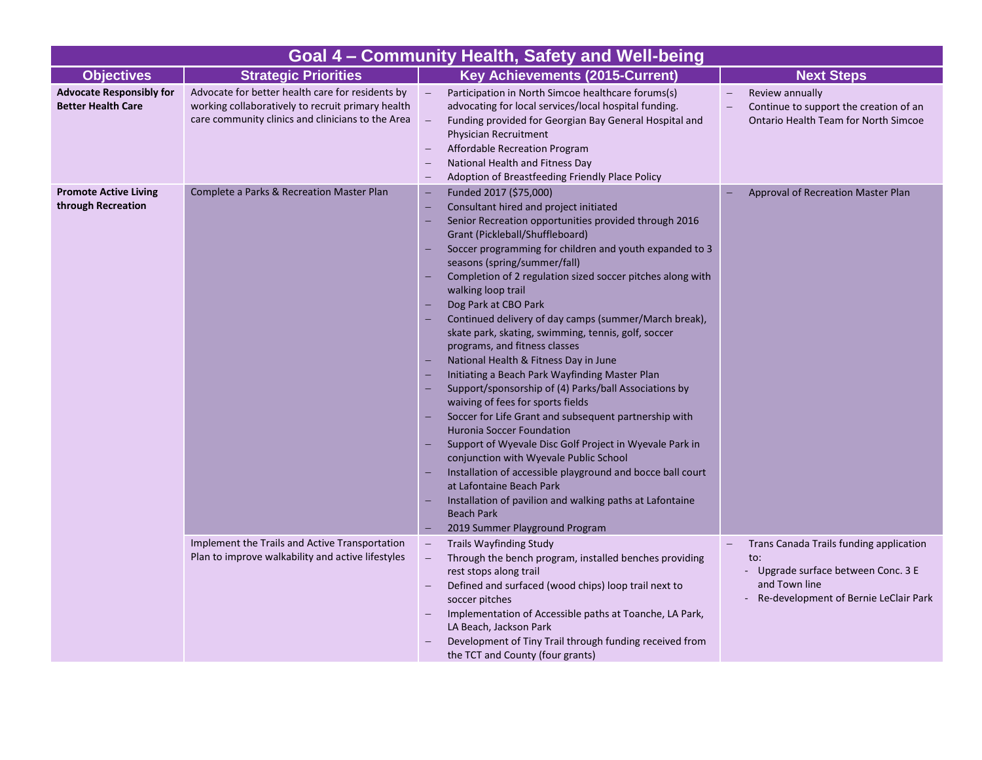|                                                              |                                                                                                                                                            | Goal 4 - Community Health, Safety and Well-being                                                                                                                                                                                                                                                                                                                                                                                                                                                                                                                                                                                                                                                                                                                                                                                                                                                                                                                                                                                                                                                                                                                                                    |                                                                                                                                                 |
|--------------------------------------------------------------|------------------------------------------------------------------------------------------------------------------------------------------------------------|-----------------------------------------------------------------------------------------------------------------------------------------------------------------------------------------------------------------------------------------------------------------------------------------------------------------------------------------------------------------------------------------------------------------------------------------------------------------------------------------------------------------------------------------------------------------------------------------------------------------------------------------------------------------------------------------------------------------------------------------------------------------------------------------------------------------------------------------------------------------------------------------------------------------------------------------------------------------------------------------------------------------------------------------------------------------------------------------------------------------------------------------------------------------------------------------------------|-------------------------------------------------------------------------------------------------------------------------------------------------|
| <b>Objectives</b>                                            | <b>Strategic Priorities</b>                                                                                                                                | <b>Key Achievements (2015-Current)</b>                                                                                                                                                                                                                                                                                                                                                                                                                                                                                                                                                                                                                                                                                                                                                                                                                                                                                                                                                                                                                                                                                                                                                              | <b>Next Steps</b>                                                                                                                               |
| <b>Advocate Responsibly for</b><br><b>Better Health Care</b> | Advocate for better health care for residents by<br>working collaboratively to recruit primary health<br>care community clinics and clinicians to the Area | $\equiv$<br>Participation in North Simcoe healthcare forums(s)<br>advocating for local services/local hospital funding.<br>Funding provided for Georgian Bay General Hospital and<br>Physician Recruitment<br>Affordable Recreation Program<br>National Health and Fitness Day<br>Adoption of Breastfeeding Friendly Place Policy                                                                                                                                                                                                                                                                                                                                                                                                                                                                                                                                                                                                                                                                                                                                                                                                                                                                   | Review annually<br>$\equiv$<br>Continue to support the creation of an<br>Ontario Health Team for North Simcoe                                   |
| <b>Promote Active Living</b><br>through Recreation           | Complete a Parks & Recreation Master Plan                                                                                                                  | Funded 2017 (\$75,000)<br>$\overline{\phantom{0}}$<br>Consultant hired and project initiated<br>$\overline{\phantom{0}}$<br>Senior Recreation opportunities provided through 2016<br>۳<br>Grant (Pickleball/Shuffleboard)<br>Soccer programming for children and youth expanded to 3<br>seasons (spring/summer/fall)<br>Completion of 2 regulation sized soccer pitches along with<br>walking loop trail<br>Dog Park at CBO Park<br>Continued delivery of day camps (summer/March break),<br>skate park, skating, swimming, tennis, golf, soccer<br>programs, and fitness classes<br>National Health & Fitness Day in June<br>Initiating a Beach Park Wayfinding Master Plan<br>Support/sponsorship of (4) Parks/ball Associations by<br>۳<br>waiving of fees for sports fields<br>Soccer for Life Grant and subsequent partnership with<br><b>Huronia Soccer Foundation</b><br>Support of Wyevale Disc Golf Project in Wyevale Park in<br>conjunction with Wyevale Public School<br>Installation of accessible playground and bocce ball court<br>at Lafontaine Beach Park<br>Installation of pavilion and walking paths at Lafontaine<br>۳<br><b>Beach Park</b><br>2019 Summer Playground Program | Approval of Recreation Master Plan                                                                                                              |
|                                                              | Implement the Trails and Active Transportation<br>Plan to improve walkability and active lifestyles                                                        | <b>Trails Wayfinding Study</b><br>$\overline{\phantom{0}}$<br>Through the bench program, installed benches providing<br>rest stops along trail<br>Defined and surfaced (wood chips) loop trail next to<br>soccer pitches<br>Implementation of Accessible paths at Toanche, LA Park,<br>LA Beach, Jackson Park<br>Development of Tiny Trail through funding received from<br>the TCT and County (four grants)                                                                                                                                                                                                                                                                                                                                                                                                                                                                                                                                                                                                                                                                                                                                                                                        | Trans Canada Trails funding application<br>to:<br>- Upgrade surface between Conc. 3 E<br>and Town line<br>Re-development of Bernie LeClair Park |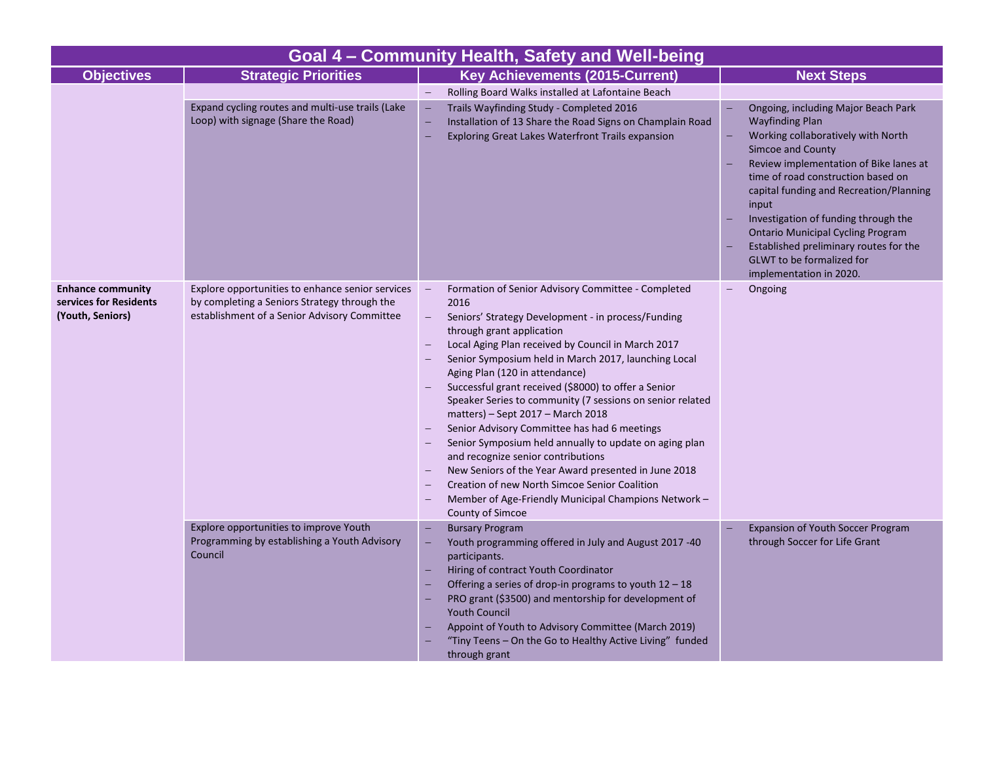| Goal 4 - Community Health, Safety and Well-being   |                                                                                                                                                                                             |                                                                                                                                                                                                                                                                                                                                                                                                                                                                                                                                                                                                                                                                                                                                                                                 |                                                                                                                                                                                                                                                                                                                                                                                                                                                                                    |  |  |
|----------------------------------------------------|---------------------------------------------------------------------------------------------------------------------------------------------------------------------------------------------|---------------------------------------------------------------------------------------------------------------------------------------------------------------------------------------------------------------------------------------------------------------------------------------------------------------------------------------------------------------------------------------------------------------------------------------------------------------------------------------------------------------------------------------------------------------------------------------------------------------------------------------------------------------------------------------------------------------------------------------------------------------------------------|------------------------------------------------------------------------------------------------------------------------------------------------------------------------------------------------------------------------------------------------------------------------------------------------------------------------------------------------------------------------------------------------------------------------------------------------------------------------------------|--|--|
| <b>Objectives</b>                                  | <b>Strategic Priorities</b>                                                                                                                                                                 | <b>Key Achievements (2015-Current)</b>                                                                                                                                                                                                                                                                                                                                                                                                                                                                                                                                                                                                                                                                                                                                          | <b>Next Steps</b>                                                                                                                                                                                                                                                                                                                                                                                                                                                                  |  |  |
| <b>Enhance community</b><br>services for Residents | Expand cycling routes and multi-use trails (Lake<br>Loop) with signage (Share the Road)<br>Explore opportunities to enhance senior services<br>by completing a Seniors Strategy through the | $\equiv$<br>Rolling Board Walks installed at Lafontaine Beach<br>Trails Wayfinding Study - Completed 2016<br>Installation of 13 Share the Road Signs on Champlain Road<br>÷<br>Exploring Great Lakes Waterfront Trails expansion<br>۰<br>Formation of Senior Advisory Committee - Completed<br>$\overline{\phantom{0}}$<br>2016                                                                                                                                                                                                                                                                                                                                                                                                                                                 | Ongoing, including Major Beach Park<br><b>Wayfinding Plan</b><br>Working collaboratively with North<br><b>Simcoe and County</b><br>Review implementation of Bike lanes at<br>time of road construction based on<br>capital funding and Recreation/Planning<br>input<br>Investigation of funding through the<br><b>Ontario Municipal Cycling Program</b><br>Established preliminary routes for the<br><b>GLWT</b> to be formalized for<br>implementation in 2020.<br>$-$<br>Ongoing |  |  |
| (Youth, Seniors)                                   | establishment of a Senior Advisory Committee                                                                                                                                                | Seniors' Strategy Development - in process/Funding<br>$\qquad \qquad -$<br>through grant application<br>Local Aging Plan received by Council in March 2017<br>Senior Symposium held in March 2017, launching Local<br>Aging Plan (120 in attendance)<br>Successful grant received (\$8000) to offer a Senior<br>Speaker Series to community (7 sessions on senior related<br>matters) - Sept 2017 - March 2018<br>Senior Advisory Committee has had 6 meetings<br>Senior Symposium held annually to update on aging plan<br>and recognize senior contributions<br>New Seniors of the Year Award presented in June 2018<br>Creation of new North Simcoe Senior Coalition<br>$\overline{\phantom{0}}$<br>Member of Age-Friendly Municipal Champions Network -<br>County of Simcoe |                                                                                                                                                                                                                                                                                                                                                                                                                                                                                    |  |  |
|                                                    | Explore opportunities to improve Youth<br>Programming by establishing a Youth Advisory<br>Council                                                                                           | <b>Bursary Program</b><br>Youth programming offered in July and August 2017 -40<br>÷<br>participants.<br>Hiring of contract Youth Coordinator<br>Offering a series of drop-in programs to youth $12 - 18$<br>PRO grant (\$3500) and mentorship for development of<br><b>Youth Council</b><br>Appoint of Youth to Advisory Committee (March 2019)<br>"Tiny Teens - On the Go to Healthy Active Living" funded<br>through grant                                                                                                                                                                                                                                                                                                                                                   | <b>Expansion of Youth Soccer Program</b><br>through Soccer for Life Grant                                                                                                                                                                                                                                                                                                                                                                                                          |  |  |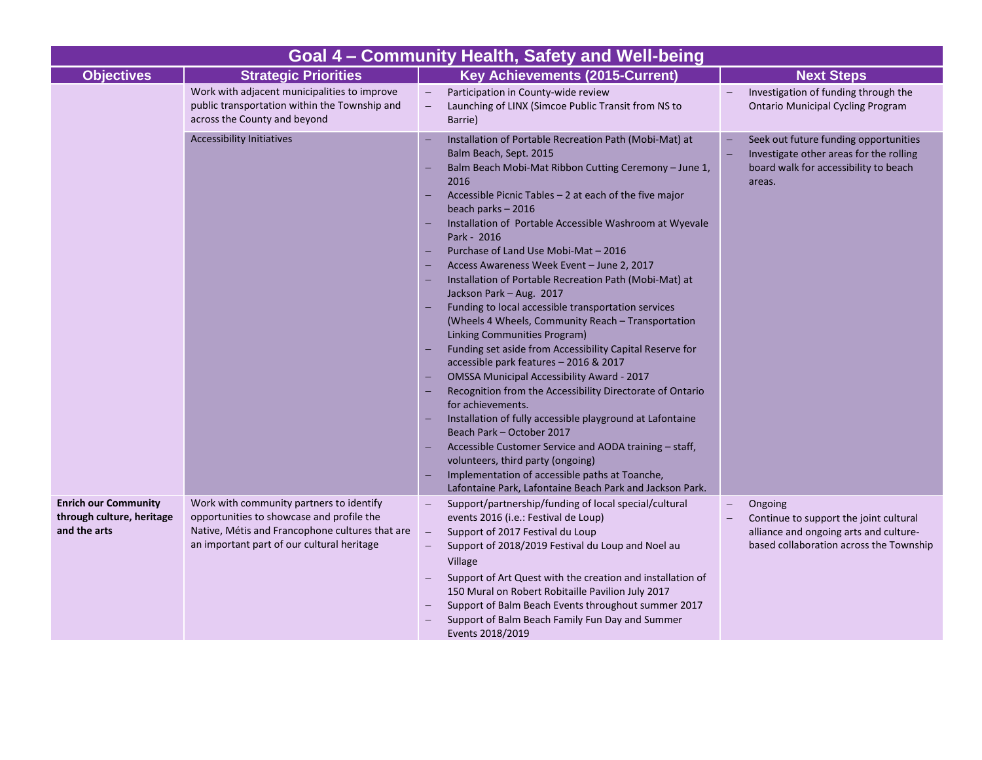| Goal 4 – Community Health, Safety and Well-being                  |                                                                                                                                                                                        |                                               |                                                                                                                                                                                                                                                                                                                                                                                                                                                                                                                                                                                                                                                                                                                                                                                                                                                                                                                                                                                                                                                                                                                                                                                   |  |                                                                                                                                        |  |
|-------------------------------------------------------------------|----------------------------------------------------------------------------------------------------------------------------------------------------------------------------------------|-----------------------------------------------|-----------------------------------------------------------------------------------------------------------------------------------------------------------------------------------------------------------------------------------------------------------------------------------------------------------------------------------------------------------------------------------------------------------------------------------------------------------------------------------------------------------------------------------------------------------------------------------------------------------------------------------------------------------------------------------------------------------------------------------------------------------------------------------------------------------------------------------------------------------------------------------------------------------------------------------------------------------------------------------------------------------------------------------------------------------------------------------------------------------------------------------------------------------------------------------|--|----------------------------------------------------------------------------------------------------------------------------------------|--|
| <b>Objectives</b>                                                 | <b>Strategic Priorities</b>                                                                                                                                                            |                                               | <b>Key Achievements (2015-Current)</b>                                                                                                                                                                                                                                                                                                                                                                                                                                                                                                                                                                                                                                                                                                                                                                                                                                                                                                                                                                                                                                                                                                                                            |  | <b>Next Steps</b>                                                                                                                      |  |
|                                                                   | Work with adjacent municipalities to improve<br>public transportation within the Township and<br>across the County and beyond                                                          | $\equiv$                                      | Participation in County-wide review<br>Launching of LINX (Simcoe Public Transit from NS to<br>Barrie)                                                                                                                                                                                                                                                                                                                                                                                                                                                                                                                                                                                                                                                                                                                                                                                                                                                                                                                                                                                                                                                                             |  | Investigation of funding through the<br><b>Ontario Municipal Cycling Program</b>                                                       |  |
|                                                                   | <b>Accessibility Initiatives</b>                                                                                                                                                       | -<br>٢<br>٠<br>۳                              | Installation of Portable Recreation Path (Mobi-Mat) at<br>Balm Beach, Sept. 2015<br>Balm Beach Mobi-Mat Ribbon Cutting Ceremony - June 1,<br>2016<br>Accessible Picnic Tables - 2 at each of the five major<br>beach parks - 2016<br>Installation of Portable Accessible Washroom at Wyevale<br>Park - 2016<br>Purchase of Land Use Mobi-Mat - 2016<br>Access Awareness Week Event - June 2, 2017<br>Installation of Portable Recreation Path (Mobi-Mat) at<br>Jackson Park - Aug. 2017<br>Funding to local accessible transportation services<br>(Wheels 4 Wheels, Community Reach - Transportation<br>Linking Communities Program)<br>Funding set aside from Accessibility Capital Reserve for<br>accessible park features - 2016 & 2017<br>OMSSA Municipal Accessibility Award - 2017<br>Recognition from the Accessibility Directorate of Ontario<br>for achievements.<br>Installation of fully accessible playground at Lafontaine<br>Beach Park - October 2017<br>Accessible Customer Service and AODA training - staff,<br>volunteers, third party (ongoing)<br>Implementation of accessible paths at Toanche,<br>Lafontaine Park, Lafontaine Beach Park and Jackson Park. |  | Seek out future funding opportunities<br>Investigate other areas for the rolling<br>board walk for accessibility to beach<br>areas.    |  |
| Enrich our Community<br>through culture, heritage<br>and the arts | Work with community partners to identify<br>opportunities to showcase and profile the<br>Native, Métis and Francophone cultures that are<br>an important part of our cultural heritage | $\overline{\phantom{m}}$<br>$\qquad \qquad -$ | Support/partnership/funding of local special/cultural<br>events 2016 (i.e.: Festival de Loup)<br>Support of 2017 Festival du Loup<br>Support of 2018/2019 Festival du Loup and Noel au<br>Village<br>Support of Art Quest with the creation and installation of<br>150 Mural on Robert Robitaille Pavilion July 2017<br>Support of Balm Beach Events throughout summer 2017<br>Support of Balm Beach Family Fun Day and Summer<br>Events 2018/2019                                                                                                                                                                                                                                                                                                                                                                                                                                                                                                                                                                                                                                                                                                                                |  | Ongoing<br>Continue to support the joint cultural<br>alliance and ongoing arts and culture-<br>based collaboration across the Township |  |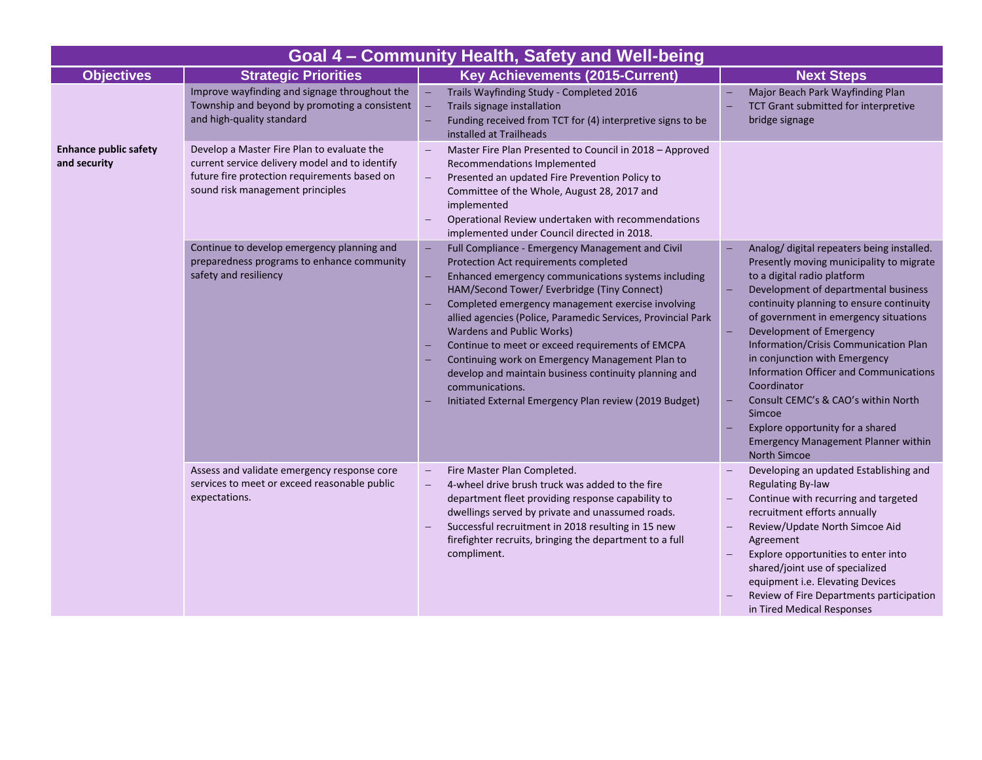| Goal 4 - Community Health, Safety and Well-being |                                                                                                                                                                                  |                                                                                                                                                                                                                                                                                                                                                                                                                                                                                                                                                                                                       |                                                                                                                                                                                                                                                                                                                                                                                                                                                                                                                                                                                    |  |  |
|--------------------------------------------------|----------------------------------------------------------------------------------------------------------------------------------------------------------------------------------|-------------------------------------------------------------------------------------------------------------------------------------------------------------------------------------------------------------------------------------------------------------------------------------------------------------------------------------------------------------------------------------------------------------------------------------------------------------------------------------------------------------------------------------------------------------------------------------------------------|------------------------------------------------------------------------------------------------------------------------------------------------------------------------------------------------------------------------------------------------------------------------------------------------------------------------------------------------------------------------------------------------------------------------------------------------------------------------------------------------------------------------------------------------------------------------------------|--|--|
| <b>Objectives</b>                                | <b>Strategic Priorities</b>                                                                                                                                                      | <b>Key Achievements (2015-Current)</b>                                                                                                                                                                                                                                                                                                                                                                                                                                                                                                                                                                | <b>Next Steps</b>                                                                                                                                                                                                                                                                                                                                                                                                                                                                                                                                                                  |  |  |
|                                                  | Improve wayfinding and signage throughout the<br>Township and beyond by promoting a consistent<br>and high-quality standard                                                      | $\equiv$<br>Trails Wayfinding Study - Completed 2016<br>Trails signage installation<br>Funding received from TCT for (4) interpretive signs to be<br>۳<br>installed at Trailheads                                                                                                                                                                                                                                                                                                                                                                                                                     | Major Beach Park Wayfinding Plan<br>TCT Grant submitted for interpretive<br>bridge signage                                                                                                                                                                                                                                                                                                                                                                                                                                                                                         |  |  |
| <b>Enhance public safety</b><br>and security     | Develop a Master Fire Plan to evaluate the<br>current service delivery model and to identify<br>future fire protection requirements based on<br>sound risk management principles | Master Fire Plan Presented to Council in 2018 - Approved<br>Recommendations Implemented<br>Presented an updated Fire Prevention Policy to<br>Committee of the Whole, August 28, 2017 and<br>implemented<br>Operational Review undertaken with recommendations<br>implemented under Council directed in 2018.                                                                                                                                                                                                                                                                                          |                                                                                                                                                                                                                                                                                                                                                                                                                                                                                                                                                                                    |  |  |
|                                                  | Continue to develop emergency planning and<br>preparedness programs to enhance community<br>safety and resiliency                                                                | Full Compliance - Emergency Management and Civil<br><b>Protection Act requirements completed</b><br>Enhanced emergency communications systems including<br>HAM/Second Tower/ Everbridge (Tiny Connect)<br>Completed emergency management exercise involving<br>allied agencies (Police, Paramedic Services, Provincial Park<br>Wardens and Public Works)<br>Continue to meet or exceed requirements of EMCPA<br>Continuing work on Emergency Management Plan to<br>develop and maintain business continuity planning and<br>communications.<br>Initiated External Emergency Plan review (2019 Budget) | Analog/ digital repeaters being installed.<br>Presently moving municipality to migrate<br>to a digital radio platform<br>Development of departmental business<br>continuity planning to ensure continuity<br>of government in emergency situations<br>Development of Emergency<br>Information/Crisis Communication Plan<br>in conjunction with Emergency<br><b>Information Officer and Communications</b><br>Coordinator<br>Consult CEMC's & CAO's within North<br>Simcoe<br>Explore opportunity for a shared<br><b>Emergency Management Planner within</b><br><b>North Simcoe</b> |  |  |
|                                                  | Assess and validate emergency response core<br>services to meet or exceed reasonable public<br>expectations.                                                                     | Fire Master Plan Completed.<br>$\qquad \qquad -$<br>4-wheel drive brush truck was added to the fire<br>department fleet providing response capability to<br>dwellings served by private and unassumed roads.<br>Successful recruitment in 2018 resulting in 15 new<br>firefighter recruits, bringing the department to a full<br>compliment.                                                                                                                                                                                                                                                          | Developing an updated Establishing and<br><b>Regulating By-law</b><br>Continue with recurring and targeted<br>recruitment efforts annually<br>Review/Update North Simcoe Aid<br>Agreement<br>Explore opportunities to enter into<br>shared/joint use of specialized<br>equipment i.e. Elevating Devices<br>Review of Fire Departments participation<br>in Tired Medical Responses                                                                                                                                                                                                  |  |  |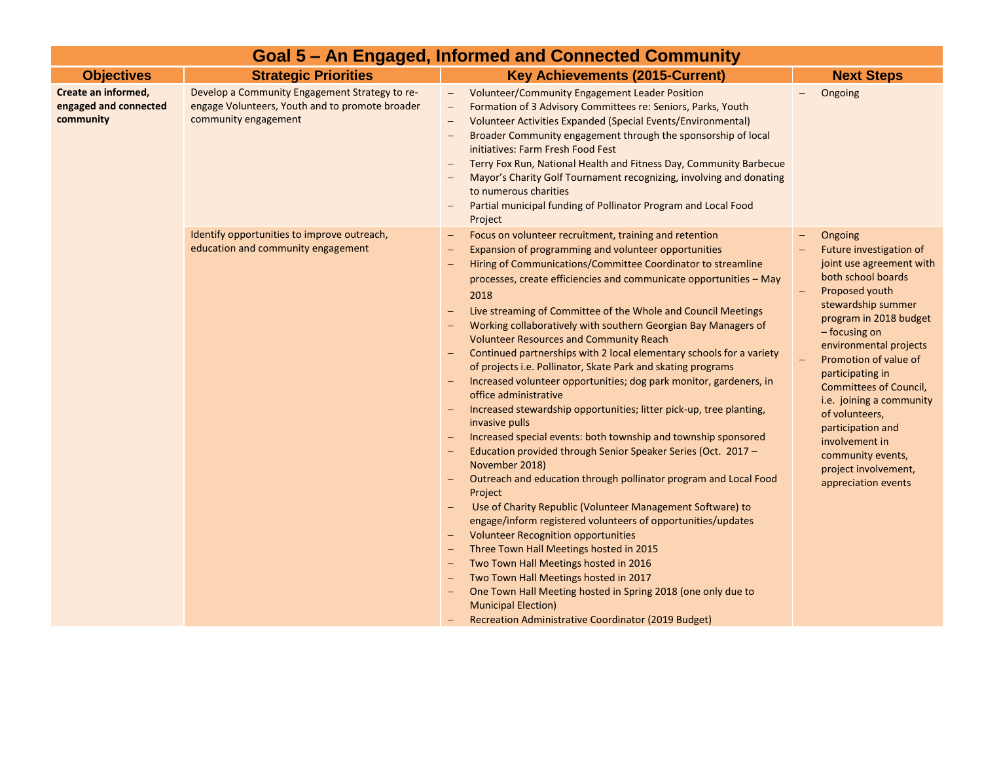| Goal 5 – An Engaged, Informed and Connected Community     |                                                                                                                           |                                                                                                                                                                                                                                                                                                                                                                                                                                                                                                                                                                                                                                                                                                                                                                                                                                                                                                                                                                                                                                                                                                                                                                                                                                                                                                                                                                                                                                                                                                                                                                                                   |                                                                                                                                                                                                                                                                                                                                                                                                                                          |  |  |
|-----------------------------------------------------------|---------------------------------------------------------------------------------------------------------------------------|---------------------------------------------------------------------------------------------------------------------------------------------------------------------------------------------------------------------------------------------------------------------------------------------------------------------------------------------------------------------------------------------------------------------------------------------------------------------------------------------------------------------------------------------------------------------------------------------------------------------------------------------------------------------------------------------------------------------------------------------------------------------------------------------------------------------------------------------------------------------------------------------------------------------------------------------------------------------------------------------------------------------------------------------------------------------------------------------------------------------------------------------------------------------------------------------------------------------------------------------------------------------------------------------------------------------------------------------------------------------------------------------------------------------------------------------------------------------------------------------------------------------------------------------------------------------------------------------------|------------------------------------------------------------------------------------------------------------------------------------------------------------------------------------------------------------------------------------------------------------------------------------------------------------------------------------------------------------------------------------------------------------------------------------------|--|--|
| <b>Objectives</b>                                         | <b>Strategic Priorities</b>                                                                                               | <b>Key Achievements (2015-Current)</b>                                                                                                                                                                                                                                                                                                                                                                                                                                                                                                                                                                                                                                                                                                                                                                                                                                                                                                                                                                                                                                                                                                                                                                                                                                                                                                                                                                                                                                                                                                                                                            | <b>Next Steps</b>                                                                                                                                                                                                                                                                                                                                                                                                                        |  |  |
| Create an informed,<br>engaged and connected<br>community | Develop a Community Engagement Strategy to re-<br>engage Volunteers, Youth and to promote broader<br>community engagement | <b>Volunteer/Community Engagement Leader Position</b><br>$\overline{\phantom{m}}$<br>Formation of 3 Advisory Committees re: Seniors, Parks, Youth<br>$\overline{\phantom{m}}$<br>Volunteer Activities Expanded (Special Events/Environmental)<br>$\overline{\phantom{m}}$<br>Broader Community engagement through the sponsorship of local<br>$\overline{\phantom{m}}$<br>initiatives: Farm Fresh Food Fest<br>Terry Fox Run, National Health and Fitness Day, Community Barbecue<br>$\overline{\phantom{m}}$<br>Mayor's Charity Golf Tournament recognizing, involving and donating<br>to numerous charities<br>Partial municipal funding of Pollinator Program and Local Food<br>Project                                                                                                                                                                                                                                                                                                                                                                                                                                                                                                                                                                                                                                                                                                                                                                                                                                                                                                        | Ongoing<br>$-$                                                                                                                                                                                                                                                                                                                                                                                                                           |  |  |
|                                                           | Identify opportunities to improve outreach,<br>education and community engagement                                         | Focus on volunteer recruitment, training and retention<br>$\qquad \qquad -$<br>Expansion of programming and volunteer opportunities<br>$\qquad \qquad -$<br>Hiring of Communications/Committee Coordinator to streamline<br>processes, create efficiencies and communicate opportunities - May<br>2018<br>Live streaming of Committee of the Whole and Council Meetings<br>Working collaboratively with southern Georgian Bay Managers of<br><b>Volunteer Resources and Community Reach</b><br>Continued partnerships with 2 local elementary schools for a variety<br>of projects i.e. Pollinator, Skate Park and skating programs<br>Increased volunteer opportunities; dog park monitor, gardeners, in<br>office administrative<br>Increased stewardship opportunities; litter pick-up, tree planting,<br>invasive pulls<br>Increased special events: both township and township sponsored<br>Education provided through Senior Speaker Series (Oct. 2017 -<br>November 2018)<br>Outreach and education through pollinator program and Local Food<br>Project<br>Use of Charity Republic (Volunteer Management Software) to<br>engage/inform registered volunteers of opportunities/updates<br><b>Volunteer Recognition opportunities</b><br>$\qquad \qquad -$<br>Three Town Hall Meetings hosted in 2015<br>$\qquad \qquad -$<br>Two Town Hall Meetings hosted in 2016<br>-<br>Two Town Hall Meetings hosted in 2017<br>One Town Hall Meeting hosted in Spring 2018 (one only due to<br><b>Municipal Election)</b><br>Recreation Administrative Coordinator (2019 Budget)<br>$\qquad \qquad -$ | Ongoing<br>Future investigation of<br>joint use agreement with<br>both school boards<br>Proposed youth<br>stewardship summer<br>program in 2018 budget<br>- focusing on<br>environmental projects<br>Promotion of value of<br>participating in<br><b>Committees of Council,</b><br>i.e. joining a community<br>of volunteers,<br>participation and<br>involvement in<br>community events,<br>project involvement,<br>appreciation events |  |  |